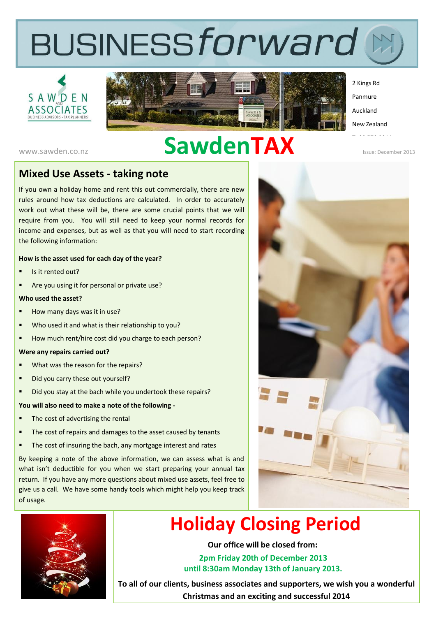# **BUSINESSforward**





2 Kings Rd Panmure Auckland

New Zealand

# www.sawden.co.nz **SawdenTAX**

Issue: December 2013

#### **Mixed Use Assets - taking note**

If you own a holiday home and rent this out commercially, there are new rules around how tax deductions are calculated. In order to accurately work out what these will be, there are some crucial points that we will require from you. You will still need to keep your normal records for income and expenses, but as well as that you will need to start recording the following information:

#### **How is the asset used for each day of the year?**

- Is it rented out?
- Are you using it for personal or private use?

#### **Who used the asset?**

- How many days was it in use?
- Who used it and what is their relationship to you?
- How much rent/hire cost did you charge to each person?

#### **Were any repairs carried out?**

- What was the reason for the repairs?
- Did you carry these out yourself?
- Did you stay at the bach while you undertook these repairs?

#### **You will also need to make a note of the following -**

- The cost of advertising the rental
- The cost of repairs and damages to the asset caused by tenants
- The cost of insuring the bach, any mortgage interest and rates

By keeping a note of the above information, we can assess what is and what isn't deductible for you when we start preparing your annual tax return. If you have any more questions about mixed use assets, feel free to give us a call. We have some handy tools which might help you keep track of usage.





## **Holiday Closing Period**

**Our office will be closed from:**

**2pm Friday 20th of December 2013 until 8:30am Monday 13th of January 2013.**

**To all of our clients, business associates and supporters, we wish you a wonderful Christmas and an exciting and successful 2014**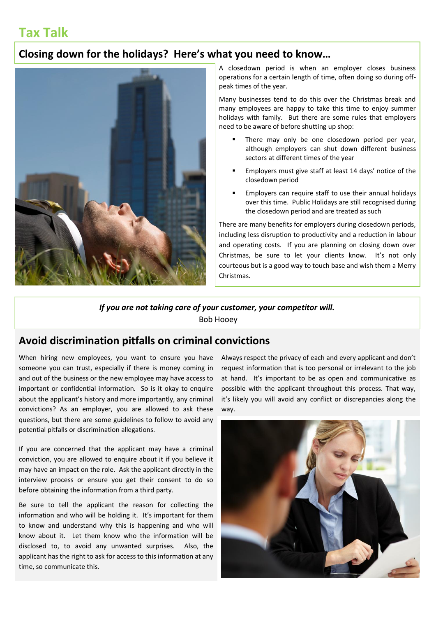## **Tax Talk**

#### **Closing down for the holidays? Here's what you need to know…**



A closedown period is when an employer closes business operations for a certain length of time, often doing so during offpeak times of the year.

Many businesses tend to do this over the Christmas break and many employees are happy to take this time to enjoy summer holidays with family. But there are some rules that employers need to be aware of before shutting up shop:

- There may only be one closedown period per year, although employers can shut down different business sectors at different times of the year
- Employers must give staff at least 14 days' notice of the closedown period
- Employers can require staff to use their annual holidays over this time. Public Holidays are still recognised during the closedown period and are treated as such

There are many benefits for employers during closedown periods, including less disruption to productivity and a reduction in labour and operating costs. If you are planning on closing down over Christmas, be sure to let your clients know. It's not only courteous but is a good way to touch base and wish them a Merry Christmas.

#### *If you are not taking care of your customer, your competitor will.*

Bob Hooey

## *Read more:<http://yfsentrepreneur.com/2013/08/13/35-inspirational-quotes-that-will-change-your-business/#ixzz2jFVxFIXL>* **Avoid discrimination pitfalls on criminal convictions**

When hiring new employees, you want to ensure you have Always respect the privac someone you can trust, especially if there is money coming in and out of the business or the new employee may have access to important or confidential information. So is it okay to enquire about the applicant's history and more importantly, any criminal convictions? As an employer, you are allowed to ask these questions, but there are some guidelines to follow to avoid any potential pitfalls or discrimination allegations.

If you are concerned that the applicant may have a criminal conviction, you are allowed to enquire about it if you believe it may have an impact on the role. Ask the applicant directly in the interview process or ensure you get their consent to do so before obtaining the information from a third party.

Be sure to tell the applicant the reason for collecting the information and who will be holding it. It's important for them to know and understand why this is happening and who will know about it. Let them know who the information will be disclosed to, to avoid any unwanted surprises. Also, the applicant has the right to ask for access to this information at any time, so communicate this.

Always respect the privacy of each and every applicant and don't request information that is too personal or irrelevant to the job at hand. It's important to be as open and communicative as possible with the applicant throughout this process. That way, it's likely you will avoid any conflict or discrepancies along the way.

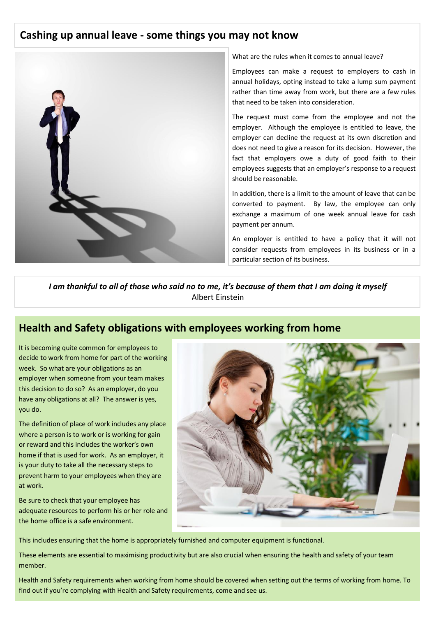#### **Cashing up annual leave - some things you may not know**



What are the rules when it comes to annual leave?

Employees can make a request to employers to cash in annual holidays, opting instead to take a lump sum payment rather than time away from work, but there are a few rules that need to be taken into consideration.

The request must come from the employee and not the employer. Although the employee is entitled to leave, the employer can decline the request at its own discretion and does not need to give a reason for its decision. However, the fact that employers owe a duty of good faith to their employees suggests that an employer's response to a request should be reasonable.

In addition, there is a limit to the amount of leave that can be converted to payment. By law, the employee can only exchange a maximum of one week annual leave for cash payment per annum.

An employer is entitled to have a policy that it will not consider requests from employees in its business or in a particular section of its business.

*I am thankful to all of those who said no to me, it's because of them that I am doing it myself*  Albert Einstein

#### **Health and Safety obligations with employees working from home**

It is becoming quite common for employees to decide to work from home for part of the working week. So what are your obligations as an employer when someone from your team makes this decision to do so? As an employer, do you have any obligations at all? The answer is yes, you do.

The definition of place of work includes any place where a person is to work or is working for gain or reward and this includes the worker's own home if that is used for work. As an employer, it is your duty to take all the necessary steps to prevent harm to your employees when they are at work.

Be sure to check that your employee has adequate resources to perform his or her role and the home office is a safe environment.



This includes ensuring that the home is appropriately furnished and computer equipment is functional.

These elements are essential to maximising productivity but are also crucial when ensuring the health and safety of your team member.

Health and Safety requirements when working from home should be covered when setting out the terms of working from home. To find out if you're complying with Health and Safety requirements, come and see us.